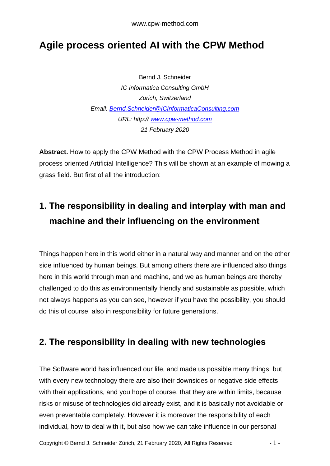### **Agile process oriented AI with the CPW Method**

Bernd J. Schneider *IC Informatica Consulting GmbH Zurich, Switzerland Email: [Bernd.Schneider@ICInformaticaConsulting.com](mailto:Bernd.Schneider@ICInformaticaConsulting.com) URL: http:// [www.cpw-method.com](http://www.cpw-method.com/) 21 February 2020*

**Abstract.** How to apply the CPW Method with the CPW Process Method in agile process oriented Artificial Intelligence? This will be shown at an example of mowing a grass field. But first of all the introduction:

### **1. The responsibility in dealing and interplay with man and machine and their influencing on the environment**

Things happen here in this world either in a natural way and manner and on the other side influenced by human beings. But among others there are influenced also things here in this world through man and machine, and we as human beings are thereby challenged to do this as environmentally friendly and sustainable as possible, which not always happens as you can see, however if you have the possibility, you should do this of course, also in responsibility for future generations.

### **2. The responsibility in dealing with new technologies**

The Software world has influenced our life, and made us possible many things, but with every new technology there are also their downsides or negative side effects with their applications, and you hope of course, that they are within limits, because risks or misuse of technologies did already exist, and it is basically not avoidable or even preventable completely. However it is moreover the responsibility of each individual, how to deal with it, but also how we can take influence in our personal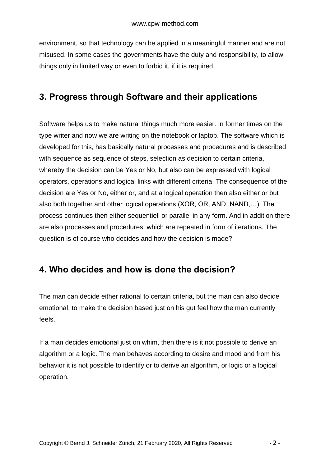environment, so that technology can be applied in a meaningful manner and are not misused. In some cases the governments have the duty and responsibility, to allow things only in limited way or even to forbid it, if it is required.

#### **3. Progress through Software and their applications**

Software helps us to make natural things much more easier. In former times on the type writer and now we are writing on the notebook or laptop. The software which is developed for this, has basically natural processes and procedures and is described with sequence as sequence of steps, selection as decision to certain criteria, whereby the decision can be Yes or No, but also can be expressed with logical operators, operations and logical links with different criteria. The consequence of the decision are Yes or No, either or, and at a logical operation then also either or but also both together and other logical operations (XOR, OR, AND, NAND,…). The process continues then either sequentiell or parallel in any form. And in addition there are also processes and procedures, which are repeated in form of iterations. The question is of course who decides and how the decision is made?

### **4. Who decides and how is done the decision?**

The man can decide either rational to certain criteria, but the man can also decide emotional, to make the decision based just on his gut feel how the man currently feels.

If a man decides emotional just on whim, then there is it not possible to derive an algorithm or a logic. The man behaves according to desire and mood and from his behavior it is not possible to identify or to derive an algorithm, or logic or a logical operation.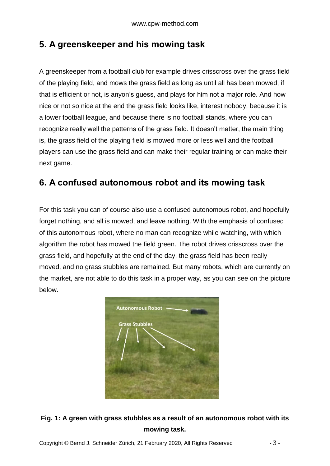### **5. A greenskeeper and his mowing task**

A greenskeeper from a football club for example drives crisscross over the grass field of the playing field, and mows the grass field as long as until all has been mowed, if that is efficient or not, is anyon's guess, and plays for him not a major role. And how nice or not so nice at the end the grass field looks like, interest nobody, because it is a lower football league, and because there is no football stands, where you can recognize really well the patterns of the grass field. It doesn't matter, the main thing is, the grass field of the playing field is mowed more or less well and the football players can use the grass field and can make their regular training or can make their next game.

### **6. A confused autonomous robot and its mowing task**

For this task you can of course also use a confused autonomous robot, and hopefully forget nothing, and all is mowed, and leave nothing. With the emphasis of confused of this autonomous robot, where no man can recognize while watching, with which algorithm the robot has mowed the field green. The robot drives crisscross over the grass field, and hopefully at the end of the day, the grass field has been really moved, and no grass stubbles are remained. But many robots, which are currently on the market, are not able to do this task in a proper way, as you can see on the picture below.



#### **Fig. 1: A green with grass stubbles as a result of an autonomous robot with its mowing task.**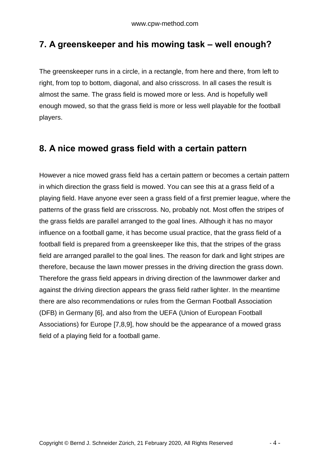### **7. A greenskeeper and his mowing task – well enough?**

The greenskeeper runs in a circle, in a rectangle, from here and there, from left to right, from top to bottom, diagonal, and also crisscross. In all cases the result is almost the same. The grass field is mowed more or less. And is hopefully well enough mowed, so that the grass field is more or less well playable for the football players.

### **8. A nice mowed grass field with a certain pattern**

However a nice mowed grass field has a certain pattern or becomes a certain pattern in which direction the grass field is mowed. You can see this at a grass field of a playing field. Have anyone ever seen a grass field of a first premier league, where the patterns of the grass field are crisscross. No, probably not. Most offen the stripes of the grass fields are parallel arranged to the goal lines. Although it has no mayor influence on a football game, it has become usual practice, that the grass field of a football field is prepared from a greenskeeper like this, that the stripes of the grass field are arranged parallel to the goal lines. The reason for dark and light stripes are therefore, because the lawn mower presses in the driving direction the grass down. Therefore the grass field appears in driving direction of the lawnmower darker and against the driving direction appears the grass field rather lighter. In the meantime there are also recommendations or rules from the German Football Association (DFB) in Germany [6], and also from the UEFA (Union of European Football Associations) for Europe [7,8,9], how should be the appearance of a mowed grass field of a playing field for a football game.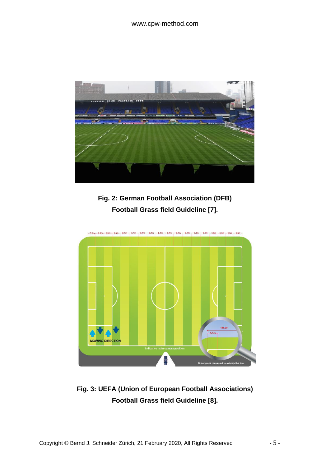

**Fig. 2: German Football Association (DFB) Football Grass field Guideline [7].**



**Fig. 3: UEFA (Union of European Football Associations) Football Grass field Guideline [8].**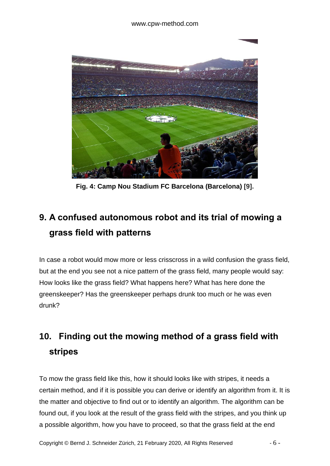

**Fig. 4: Camp Nou Stadium FC Barcelona (Barcelona) [9].**

### **9. A confused autonomous robot and its trial of mowing a grass field with patterns**

In case a robot would mow more or less crisscross in a wild confusion the grass field, but at the end you see not a nice pattern of the grass field, many people would say: How looks like the grass field? What happens here? What has here done the greenskeeper? Has the greenskeeper perhaps drunk too much or he was even drunk?

### **10. Finding out the mowing method of a grass field with stripes**

To mow the grass field like this, how it should looks like with stripes, it needs a certain method, and if it is possible you can derive or identify an algorithm from it. It is the matter and objective to find out or to identify an algorithm. The algorithm can be found out, if you look at the result of the grass field with the stripes, and you think up a possible algorithm, how you have to proceed, so that the grass field at the end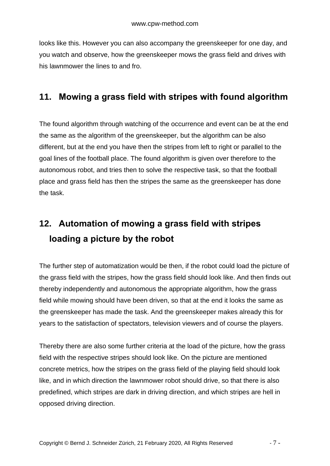looks like this. However you can also accompany the greenskeeper for one day, and you watch and observe, how the greenskeeper mows the grass field and drives with his lawnmower the lines to and fro.

#### **11. Mowing a grass field with stripes with found algorithm**

The found algorithm through watching of the occurrence and event can be at the end the same as the algorithm of the greenskeeper, but the algorithm can be also different, but at the end you have then the stripes from left to right or parallel to the goal lines of the football place. The found algorithm is given over therefore to the autonomous robot, and tries then to solve the respective task, so that the football place and grass field has then the stripes the same as the greenskeeper has done the task.

### **12. Automation of mowing a grass field with stripes loading a picture by the robot**

The further step of automatization would be then, if the robot could load the picture of the grass field with the stripes, how the grass field should look like. And then finds out thereby independently and autonomous the appropriate algorithm, how the grass field while mowing should have been driven, so that at the end it looks the same as the greenskeeper has made the task. And the greenskeeper makes already this for years to the satisfaction of spectators, television viewers and of course the players.

Thereby there are also some further criteria at the load of the picture, how the grass field with the respective stripes should look like. On the picture are mentioned concrete metrics, how the stripes on the grass field of the playing field should look like, and in which direction the lawnmower robot should drive, so that there is also predefined, which stripes are dark in driving direction, and which stripes are hell in opposed driving direction.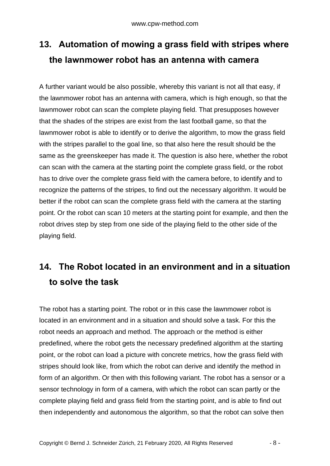# **13. Automation of mowing a grass field with stripes where the lawnmower robot has an antenna with camera**

A further variant would be also possible, whereby this variant is not all that easy, if the lawnmower robot has an antenna with camera, which is high enough, so that the lawnmower robot can scan the complete playing field. That presupposes however that the shades of the stripes are exist from the last football game, so that the lawnmower robot is able to identify or to derive the algorithm, to mow the grass field with the stripes parallel to the goal line, so that also here the result should be the same as the greenskeeper has made it. The question is also here, whether the robot can scan with the camera at the starting point the complete grass field, or the robot has to drive over the complete grass field with the camera before, to identify and to recognize the patterns of the stripes, to find out the necessary algorithm. It would be better if the robot can scan the complete grass field with the camera at the starting point. Or the robot can scan 10 meters at the starting point for example, and then the robot drives step by step from one side of the playing field to the other side of the playing field.

### **14. The Robot located in an environment and in a situation to solve the task**

The robot has a starting point. The robot or in this case the lawnmower robot is located in an environment and in a situation and should solve a task. For this the robot needs an approach and method. The approach or the method is either predefined, where the robot gets the necessary predefined algorithm at the starting point, or the robot can load a picture with concrete metrics, how the grass field with stripes should look like, from which the robot can derive and identify the method in form of an algorithm. Or then with this following variant. The robot has a sensor or a sensor technology in form of a camera, with which the robot can scan partly or the complete playing field and grass field from the starting point, and is able to find out then independently and autonomous the algorithm, so that the robot can solve then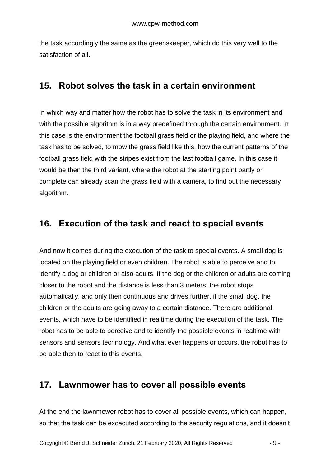the task accordingly the same as the greenskeeper, which do this very well to the satisfaction of all.

#### **15. Robot solves the task in a certain environment**

In which way and matter how the robot has to solve the task in its environment and with the possible algorithm is in a way predefined through the certain environment. In this case is the environment the football grass field or the playing field, and where the task has to be solved, to mow the grass field like this, how the current patterns of the football grass field with the stripes exist from the last football game. In this case it would be then the third variant, where the robot at the starting point partly or complete can already scan the grass field with a camera, to find out the necessary algorithm.

#### **16. Execution of the task and react to special events**

And now it comes during the execution of the task to special events. A small dog is located on the playing field or even children. The robot is able to perceive and to identify a dog or children or also adults. If the dog or the children or adults are coming closer to the robot and the distance is less than 3 meters, the robot stops automatically, and only then continuous and drives further, if the small dog, the children or the adults are going away to a certain distance. There are additional events, which have to be identified in realtime during the execution of the task. The robot has to be able to perceive and to identify the possible events in realtime with sensors and sensors technology. And what ever happens or occurs, the robot has to be able then to react to this events.

#### **17. Lawnmower has to cover all possible events**

At the end the lawnmower robot has to cover all possible events, which can happen, so that the task can be excecuted according to the security regulations, and it doesn't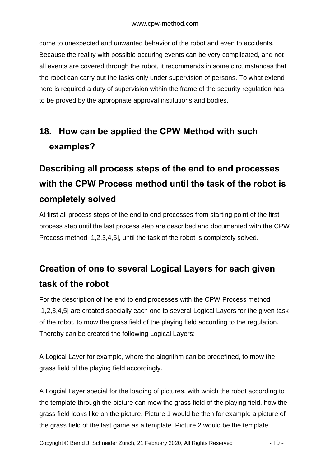come to unexpected and unwanted behavior of the robot and even to accidents. Because the reality with possible occuring events can be very complicated, and not all events are covered through the robot, it recommends in some circumstances that the robot can carry out the tasks only under supervision of persons. To what extend here is required a duty of supervision within the frame of the security regulation has to be proved by the appropriate approval institutions and bodies.

# **18. How can be applied the CPW Method with such examples?**

# **Describing all process steps of the end to end processes with the CPW Process method until the task of the robot is completely solved**

At first all process steps of the end to end processes from starting point of the first process step until the last process step are described and documented with the CPW Process method [1,2,3,4,5], until the task of the robot is completely solved.

### **Creation of one to several Logical Layers for each given task of the robot**

For the description of the end to end processes with the CPW Process method [1,2,3,4,5] are created specially each one to several Logical Layers for the given task of the robot, to mow the grass field of the playing field according to the regulation. Thereby can be created the following Logical Layers:

A Logical Layer for example, where the alogrithm can be predefined, to mow the grass field of the playing field accordingly.

A Logcial Layer special for the loading of pictures, with which the robot according to the template through the picture can mow the grass field of the playing field, how the grass field looks like on the picture. Picture 1 would be then for example a picture of the grass field of the last game as a template. Picture 2 would be the template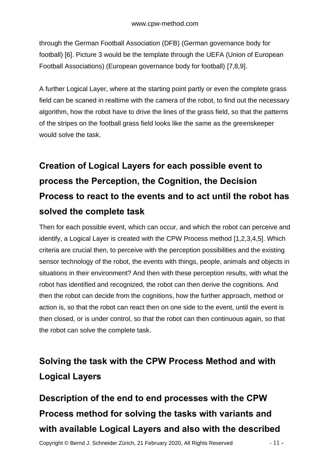through the German Football Association (DFB) (German governance body for football) [6]. Picture 3 would be the template through the UEFA (Union of European Football Associations) (European governance body for football) [7,8,9].

A further Logical Layer, where at the starting point partly or even the complete grass field can be scaned in realtime with the camera of the robot, to find out the necessary algorithm, how the robot have to drive the lines of the grass field, so that the patterns of the stripes on the football grass field looks like the same as the greenskeeper would solve the task.

# **Creation of Logical Layers for each possible event to process the Perception, the Cognition, the Decision Process to react to the events and to act until the robot has solved the complete task**

Then for each possible event, which can occur, and which the robot can perceive and identify, a Logical Layer is created with the CPW Process method [1,2,3,4,5]. Which criteria are crucial then, to perceive with the perception possibilities and the existing sensor technology of the robot, the events with things, people, animals and objects in situations in their environment? And then with these perception results, with what the robot has identified and recognized, the robot can then derive the cognitions. And then the robot can decide from the cognitions, how the further approach, method or action is, so that the robot can react then on one side to the event, until the event is then closed, or is under control, so that the robot can then continuous again, so that the robot can solve the complete task.

# **Solving the task with the CPW Process Method and with Logical Layers**

**Description of the end to end processes with the CPW Process method for solving the tasks with variants and with available Logical Layers and also with the described**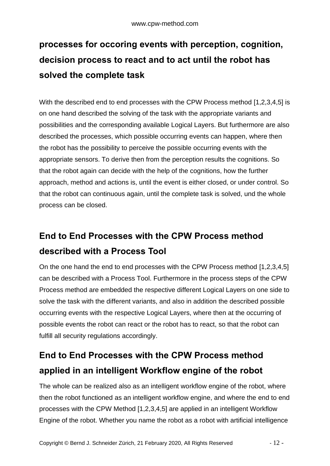# **processes for occoring events with perception, cognition, decision process to react and to act until the robot has solved the complete task**

With the described end to end processes with the CPW Process method [1,2,3,4,5] is on one hand described the solving of the task with the appropriate variants and possibilities and the corresponding available Logical Layers. But furthermore are also described the processes, which possible occurring events can happen, where then the robot has the possibility to perceive the possible occurring events with the appropriate sensors. To derive then from the perception results the cognitions. So that the robot again can decide with the help of the cognitions, how the further approach, method and actions is, until the event is either closed, or under control. So that the robot can continuous again, until the complete task is solved, und the whole process can be closed.

# **End to End Processes with the CPW Process method described with a Process Tool**

On the one hand the end to end processes with the CPW Process method [1,2,3,4,5] can be described with a Process Tool. Furthermore in the process steps of the CPW Process method are embedded the respective different Logical Layers on one side to solve the task with the different variants, and also in addition the described possible occurring events with the respective Logical Layers, where then at the occurring of possible events the robot can react or the robot has to react, so that the robot can fulfill all security regulations accordingly.

### **End to End Processes with the CPW Process method applied in an intelligent Workflow engine of the robot**

The whole can be realized also as an intelligent workflow engine of the robot, where then the robot functioned as an intelligent workflow engine, and where the end to end processes with the CPW Method [1,2,3,4,5] are applied in an intelligent Workflow Engine of the robot. Whether you name the robot as a robot with artificial intelligence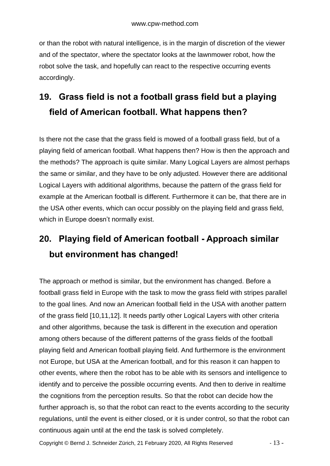or than the robot with natural intelligence, is in the margin of discretion of the viewer and of the spectator, where the spectator looks at the lawnmower robot, how the robot solve the task, and hopefully can react to the respective occurring events accordingly.

### **19. Grass field is not a football grass field but a playing field of American football. What happens then?**

Is there not the case that the grass field is mowed of a football grass field, but of a playing field of american football. What happens then? How is then the approach and the methods? The approach is quite similar. Many Logical Layers are almost perhaps the same or similar, and they have to be only adjusted. However there are additional Logical Layers with additional algorithms, because the pattern of the grass field for example at the American football is different. Furthermore it can be, that there are in the USA other events, which can occur possibly on the playing field and grass field, which in Europe doesn't normally exist.

### **20. Playing field of American football - Approach similar but environment has changed!**

The approach or method is similar, but the environment has changed. Before a football grass field in Europe with the task to mow the grass field with stripes parallel to the goal lines. And now an American football field in the USA with another pattern of the grass field [10,11,12]. It needs partly other Logical Layers with other criteria and other algorithms, because the task is different in the execution and operation among others because of the different patterns of the grass fields of the football playing field and American football playing field. And furthermore is the environment not Europe, but USA at the American football, and for this reason it can happen to other events, where then the robot has to be able with its sensors and intelligence to identify and to perceive the possible occurring events. And then to derive in realtime the cognitions from the perception results. So that the robot can decide how the further approach is, so that the robot can react to the events according to the security regulations, until the event is either closed, or it is under control, so that the robot can continuous again until at the end the task is solved completely.

Copyright © Bernd J. Schneider Zürich, 21 February 2020, All Rights Reserved - 13 -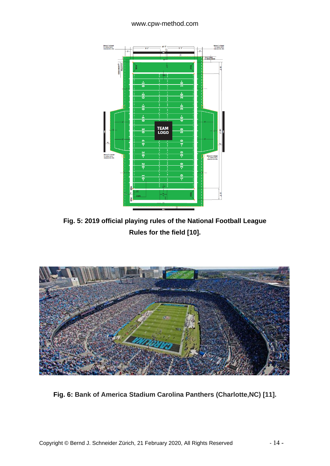#### www.cpw-method.com



**Fig. 5: 2019 official playing rules of the National Football League Rules for the field [10].**



**Fig. 6: Bank of America Stadium Carolina Panthers (Charlotte,NC) [11].**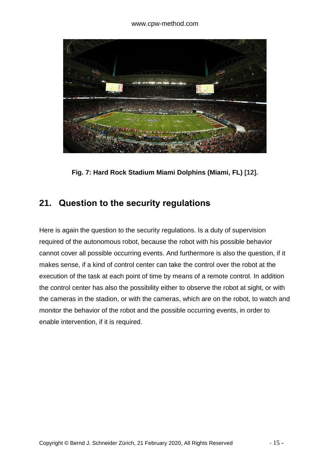

**Fig. 7: Hard Rock Stadium Miami Dolphins (Miami, FL) [12].**

### **21. Question to the security regulations**

Here is again the question to the security regulations. Is a duty of supervision required of the autonomous robot, because the robot with his possible behavior cannot cover all possible occurring events. And furthermore is also the question, if it makes sense, if a kind of control center can take the control over the robot at the execution of the task at each point of time by means of a remote control. In addition the control center has also the possibility either to observe the robot at sight, or with the cameras in the stadion, or with the cameras, which are on the robot, to watch and monitor the behavior of the robot and the possible occurring events, in order to enable intervention, if it is required.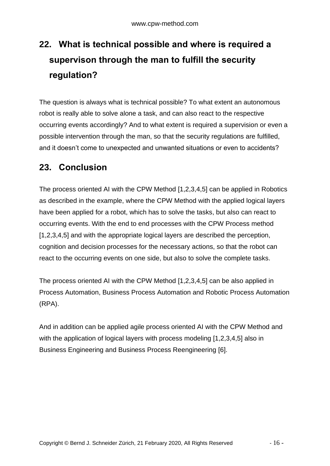# **22. What is technical possible and where is required a supervison through the man to fulfill the security regulation?**

The question is always what is technical possible? To what extent an autonomous robot is really able to solve alone a task, and can also react to the respective occurring events accordingly? And to what extent is required a supervision or even a possible intervention through the man, so that the security regulations are fulfilled, and it doesn't come to unexpected and unwanted situations or even to accidents?

#### **23. Conclusion**

The process oriented AI with the CPW Method [1,2,3,4,5] can be applied in Robotics as described in the example, where the CPW Method with the applied logical layers have been applied for a robot, which has to solve the tasks, but also can react to occurring events. With the end to end processes with the CPW Process method [1,2,3,4,5] and with the appropriate logical layers are described the perception, cognition and decision processes for the necessary actions, so that the robot can react to the occurring events on one side, but also to solve the complete tasks.

The process oriented AI with the CPW Method [1,2,3,4,5] can be also applied in Process Automation, Business Process Automation and Robotic Process Automation (RPA).

And in addition can be applied agile process oriented AI with the CPW Method and with the application of logical layers with process modeling [1,2,3,4,5] also in Business Engineering and Business Process Reengineering [6].